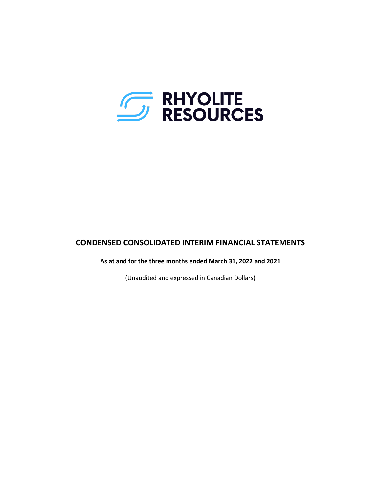

## **CONDENSED CONSOLIDATED INTERIM FINANCIAL STATEMENTS**

**As at and for the three months ended March 31, 2022 and 2021**

(Unaudited and expressed in Canadian Dollars)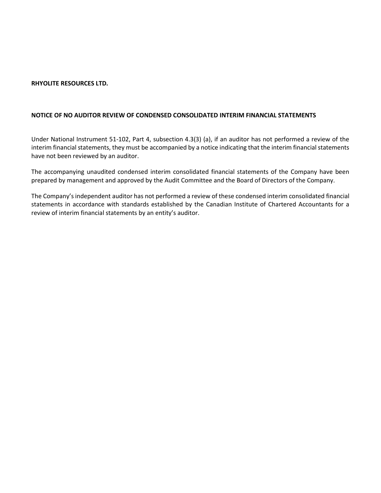#### **NOTICE OF NO AUDITOR REVIEW OF CONDENSED CONSOLIDATED INTERIM FINANCIAL STATEMENTS**

Under National Instrument 51-102, Part 4, subsection 4.3(3) (a), if an auditor has not performed a review of the interim financial statements, they must be accompanied by a notice indicating that the interim financial statements have not been reviewed by an auditor.

The accompanying unaudited condensed interim consolidated financial statements of the Company have been prepared by management and approved by the Audit Committee and the Board of Directors of the Company.

The Company's independent auditor has not performed a review of these condensed interim consolidated financial statements in accordance with standards established by the Canadian Institute of Chartered Accountants for a review of interim financial statements by an entity's auditor.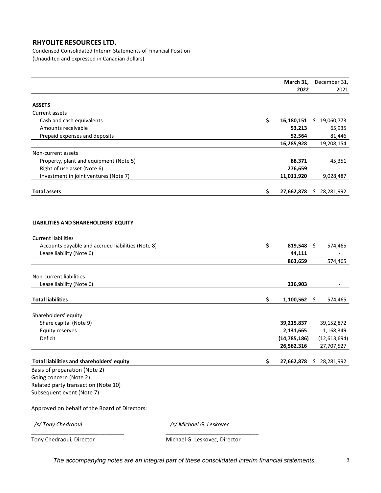Condensed Consolidated Interim Statements of Financial Position (Unaudited and expressed in Canadian dollars)

|                                                   | March 31,        | December 31,      |
|---------------------------------------------------|------------------|-------------------|
|                                                   | 2022             | 2021              |
|                                                   |                  |                   |
| <b>ASSETS</b>                                     |                  |                   |
| Current assets                                    |                  |                   |
| Cash and cash equivalents                         | \$<br>16,180,151 | 19,060,773<br>\$. |
| Amounts receivable                                | 53,213           | 65,935            |
| Prepaid expenses and deposits                     | 52,564           | 81,446            |
|                                                   | 16,285,928       | 19,208,154        |
| Non-current assets                                |                  |                   |
| Property, plant and equipment (Note 5)            | 88,371           | 45,351            |
| Right of use asset (Note 6)                       | 276,659          |                   |
| Investment in joint ventures (Note 7)             | 11,011,920       | 9,028,487         |
|                                                   |                  |                   |
| <b>Total assets</b>                               | \$<br>27,662,878 | 28,281,992<br>\$  |
|                                                   |                  |                   |
|                                                   |                  |                   |
|                                                   |                  |                   |
| LIABILITIES AND SHAREHOLDERS' EQUITY              |                  |                   |
|                                                   |                  |                   |
| <b>Current liabilities</b>                        |                  |                   |
| Accounts payable and accrued liabilities (Note 8) | \$<br>819,548 \$ | 574,465           |
| Lease liability (Note 6)                          | 44,111           |                   |
|                                                   | 863,659          | 574,465           |
|                                                   |                  |                   |
| Non-current liabilities                           |                  |                   |
| Lease liability (Note 6)                          | 236,903          |                   |
| <b>Total liabilities</b>                          |                  |                   |
|                                                   | \$<br>1,100,562  | \$<br>574,465     |
| Shareholders' equity                              |                  |                   |
| Share capital (Note 9)                            | 39,215,837       | 39,152,872        |
| <b>Equity reserves</b>                            | 2,131,665        | 1,168,349         |
| Deficit                                           | (14, 785, 186)   | (12, 613, 694)    |
|                                                   | 26,562,316       | 27,707,527        |
|                                                   |                  |                   |
| Total liabilities and shareholders' equity        | \$<br>27,662,878 | \$28,281,992      |
| Basis of preparation (Note 2)                     |                  |                   |
| Going concern (Note 2)                            |                  |                   |
| Related party transaction (Note 10)               |                  |                   |
| Subsequent event (Note 7)                         |                  |                   |
|                                                   |                  |                   |
| Approved on behalf of the Board of Directors:     |                  |                   |
|                                                   |                  |                   |

\_\_\_\_\_\_\_\_\_\_\_\_\_\_\_\_\_\_\_\_\_\_\_\_\_\_\_\_\_\_ \_\_\_\_\_\_\_\_\_\_\_\_\_\_\_\_\_\_\_\_\_\_\_\_\_\_\_\_\_\_

*/s/ Tony Chedraoui /s/ Michael G. Leskovec*

Tony Chedraoui, Director **Michael G. Leskovec, Director** 

*The accompanying notes are an integral part of these consolidated interim financial statements.* 3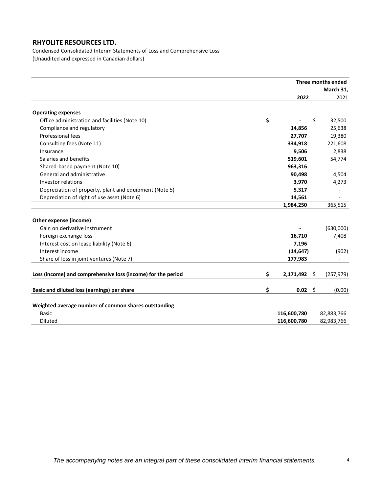Condensed Consolidated Interim Statements of Loss and Comprehensive Loss (Unaudited and expressed in Canadian dollars)

|                                                              | Three months ended   |    |            |  |
|--------------------------------------------------------------|----------------------|----|------------|--|
|                                                              |                      |    | March 31,  |  |
|                                                              | 2022                 |    | 2021       |  |
| <b>Operating expenses</b>                                    |                      |    |            |  |
| Office administration and facilities (Note 10)               | \$                   | \$ | 32,500     |  |
| Compliance and regulatory                                    | 14,856               |    | 25,638     |  |
| Professional fees                                            | 27,707               |    | 19,380     |  |
| Consulting fees (Note 11)                                    | 334,918              |    | 221,608    |  |
| Insurance                                                    | 9,506                |    | 2,838      |  |
| Salaries and benefits                                        | 519,601              |    | 54,774     |  |
| Shared-based payment (Note 10)                               | 963,316              |    |            |  |
| General and administrative                                   | 90,498               |    | 4,504      |  |
| <b>Investor relations</b>                                    | 3,970                |    | 4,273      |  |
| Depreciation of property, plant and equipment (Note 5)       | 5,317                |    |            |  |
| Depreciation of right of use asset (Note 6)                  | 14,561               |    |            |  |
|                                                              | 1,984,250            |    | 365,515    |  |
| Other expense (income)                                       |                      |    |            |  |
| Gain on derivative instrument                                |                      |    | (630,000)  |  |
| Foreign exchange loss                                        | 16,710               |    | 7,408      |  |
| Interest cost on lease liability (Note 6)                    | 7,196                |    |            |  |
| Interest income                                              | (14, 647)            |    | (902)      |  |
| Share of loss in joint ventures (Note 7)                     | 177,983              |    |            |  |
|                                                              |                      |    |            |  |
| Loss (income) and comprehensive loss (income) for the period | \$<br>$2,171,492$ \$ |    | (257, 979) |  |
| Basic and diluted loss (earnings) per share                  | \$<br>$0.02 \div$    |    | (0.00)     |  |
|                                                              |                      |    |            |  |
| Weighted average number of common shares outstanding         |                      |    |            |  |
| Basic                                                        | 116,600,780          |    | 82,883,766 |  |
| Diluted                                                      | 116,600,780          |    | 82,983,766 |  |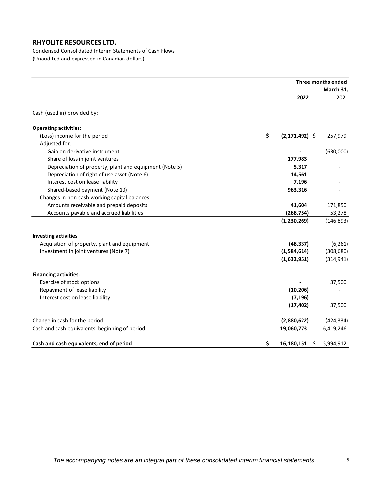Condensed Consolidated Interim Statements of Cash Flows (Unaudited and expressed in Canadian dollars)

|                                                        | Three months ended |                  |            |
|--------------------------------------------------------|--------------------|------------------|------------|
|                                                        |                    |                  | March 31,  |
|                                                        |                    | 2022             | 2021       |
| Cash (used in) provided by:                            |                    |                  |            |
| <b>Operating activities:</b>                           |                    |                  |            |
| (Loss) income for the period                           | \$                 | $(2,171,492)$ \$ | 257,979    |
| Adjusted for:                                          |                    |                  |            |
| Gain on derivative instrument                          |                    |                  | (630,000)  |
| Share of loss in joint ventures                        |                    | 177,983          |            |
| Depreciation of property, plant and equipment (Note 5) |                    | 5,317            |            |
| Depreciation of right of use asset (Note 6)            |                    | 14,561           |            |
| Interest cost on lease liability                       |                    | 7,196            |            |
| Shared-based payment (Note 10)                         |                    | 963,316          |            |
| Changes in non-cash working capital balances:          |                    |                  |            |
| Amounts receivable and prepaid deposits                |                    | 41,604           | 171,850    |
| Accounts payable and accrued liabilities               |                    | (268, 754)       | 53,278     |
|                                                        |                    | (1, 230, 269)    | (146, 893) |
| <b>Investing activities:</b>                           |                    |                  |            |
| Acquisition of property, plant and equipment           |                    | (48, 337)        | (6, 261)   |
| Investment in joint ventures (Note 7)                  |                    | (1,584,614)      | (308, 680) |
|                                                        |                    | (1,632,951)      | (314, 941) |
|                                                        |                    |                  |            |
| <b>Financing activities:</b>                           |                    |                  |            |
| Exercise of stock options                              |                    |                  | 37,500     |
| Repayment of lease liability                           |                    | (10, 206)        |            |
| Interest cost on lease liability                       |                    | (7, 196)         |            |
|                                                        |                    | (17, 402)        | 37,500     |
| Change in cash for the period                          |                    | (2,880,622)      | (424, 334) |
| Cash and cash equivalents, beginning of period         |                    | 19,060,773       | 6,419,246  |
| Cash and cash equivalents, end of period               | \$                 | 16,180,151<br>\$ | 5,994,912  |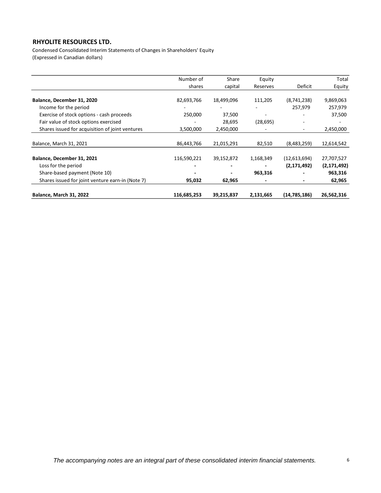Condensed Consolidated Interim Statements of Changes in Shareholders' Equity (Expressed in Canadian dollars)

|                                                  | Number of   | Share      | Equity                   |                | Total         |
|--------------------------------------------------|-------------|------------|--------------------------|----------------|---------------|
|                                                  | shares      | capital    | Reserves                 | Deficit        | Equity        |
| Balance, December 31, 2020                       | 82,693,766  | 18,499,096 | 111,205                  | (8,741,238)    | 9,869,063     |
| Income for the period                            |             |            |                          | 257,979        | 257,979       |
| Exercise of stock options - cash proceeds        | 250,000     | 37,500     | $\overline{\phantom{a}}$ |                | 37,500        |
| Fair value of stock options exercised            |             | 28,695     | (28, 695)                |                |               |
| Shares issued for acquisition of joint ventures  | 3,500,000   | 2,450,000  |                          | ۰.             | 2,450,000     |
| Balance, March 31, 2021                          | 86,443,766  | 21,015,291 | 82,510                   | (8,483,259)    | 12,614,542    |
| Balance, December 31, 2021                       | 116,590,221 | 39,152,872 | 1,168,349                | (12,613,694)   | 27,707,527    |
| Loss for the period                              |             |            |                          | (2, 171, 492)  | (2, 171, 492) |
| Share-based payment (Note 10)                    |             |            | 963,316                  |                | 963,316       |
| Shares issued for joint venture earn-in (Note 7) | 95,032      | 62,965     |                          |                | 62,965        |
| <b>Balance, March 31, 2022</b>                   | 116,685,253 | 39,215,837 | 2,131,665                | (14, 785, 186) | 26,562,316    |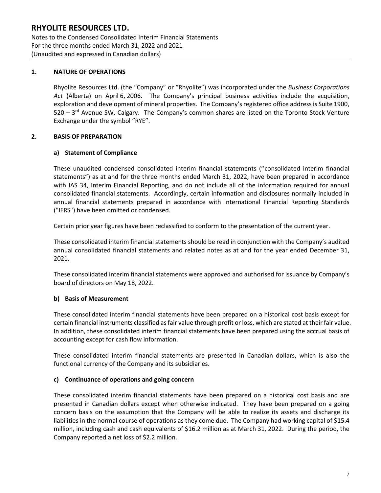Notes to the Condensed Consolidated Interim Financial Statements For the three months ended March 31, 2022 and 2021 (Unaudited and expressed in Canadian dollars)

## **1. NATURE OF OPERATIONS**

Rhyolite Resources Ltd. (the "Company" or "Rhyolite") was incorporated under the *Business Corporations Act* (Alberta) on April 6, 2006. The Company's principal business activities include the acquisition, exploration and development of mineral properties. The Company's registered office address is Suite 1900, 520 – 3<sup>rd</sup> Avenue SW, Calgary. The Company's common shares are listed on the Toronto Stock Venture Exchange under the symbol "RYE".

## **2. BASIS OF PREPARATION**

## **a) Statement of Compliance**

These unaudited condensed consolidated interim financial statements (''consolidated interim financial statements") as at and for the three months ended March 31, 2022, have been prepared in accordance with IAS 34, Interim Financial Reporting, and do not include all of the information required for annual consolidated financial statements. Accordingly, certain information and disclosures normally included in annual financial statements prepared in accordance with International Financial Reporting Standards ("IFRS") have been omitted or condensed.

Certain prior year figures have been reclassified to conform to the presentation of the current year.

These consolidated interim financial statements should be read in conjunction with the Company's audited annual consolidated financial statements and related notes as at and for the year ended December 31, 2021.

These consolidated interim financial statements were approved and authorised for issuance by Company's board of directors on May 18, 2022.

### **b) Basis of Measurement**

These consolidated interim financial statements have been prepared on a historical cost basis except for certain financial instruments classified as fair value through profit or loss, which are stated at their fair value. In addition, these consolidated interim financial statements have been prepared using the accrual basis of accounting except for cash flow information.

These consolidated interim financial statements are presented in Canadian dollars, which is also the functional currency of the Company and its subsidiaries.

### **c) Continuance of operations and going concern**

These consolidated interim financial statements have been prepared on a historical cost basis and are presented in Canadian dollars except when otherwise indicated. They have been prepared on a going concern basis on the assumption that the Company will be able to realize its assets and discharge its liabilities in the normal course of operations as they come due. The Company had working capital of \$15.4 million, including cash and cash equivalents of \$16.2 million as at March 31, 2022. During the period, the Company reported a net loss of \$2.2 million.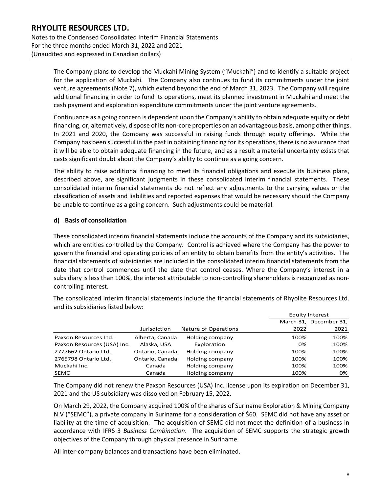Notes to the Condensed Consolidated Interim Financial Statements For the three months ended March 31, 2022 and 2021 (Unaudited and expressed in Canadian dollars)

> The Company plans to develop the Muckahi Mining System ("Muckahi") and to identify a suitable project for the application of Muckahi. The Company also continues to fund its commitments under the joint venture agreements (Note 7), which extend beyond the end of March 31, 2023. The Company will require additional financing in order to fund its operations, meet its planned investment in Muckahi and meet the cash payment and exploration expenditure commitments under the joint venture agreements.

> Continuance as a going concern is dependent upon the Company's ability to obtain adequate equity or debt financing, or, alternatively, dispose of its non-core properties on an advantageous basis, among other things. In 2021 and 2020, the Company was successful in raising funds through equity offerings. While the Company has been successful in the past in obtaining financing for its operations, there is no assurance that it will be able to obtain adequate financing in the future, and as a result a material uncertainty exists that casts significant doubt about the Company's ability to continue as a going concern.

> The ability to raise additional financing to meet its financial obligations and execute its business plans, described above, are significant judgments in these consolidated interim financial statements. These consolidated interim financial statements do not reflect any adjustments to the carrying values or the classification of assets and liabilities and reported expenses that would be necessary should the Company be unable to continue as a going concern. Such adjustments could be material.

## **d) Basis of consolidation**

These consolidated interim financial statements include the accounts of the Company and its subsidiaries, which are entities controlled by the Company. Control is achieved where the Company has the power to govern the financial and operating policies of an entity to obtain benefits from the entity's activities. The financial statements of subsidiaries are included in the consolidated interim financial statements from the date that control commences until the date that control ceases. Where the Company's interest in a subsidiary is less than 100%, the interest attributable to non-controlling shareholders is recognized as noncontrolling interest.

The consolidated interim financial statements include the financial statements of Rhyolite Resources Ltd. and its subsidiaries listed below:

|                             |                 |                      |      | <b>Equity Interest</b> |
|-----------------------------|-----------------|----------------------|------|------------------------|
|                             |                 |                      |      | March 31, December 31, |
|                             | Jurisdiction    | Nature of Operations | 2022 | 2021                   |
| Paxson Resources Ltd.       | Alberta, Canada | Holding company      | 100% | 100%                   |
| Paxson Resources (USA) Inc. | Alaska, USA     | Exploration          | 0%   | 100%                   |
| 2777662 Ontario Ltd.        | Ontario, Canada | Holding company      | 100% | 100%                   |
| 2765798 Ontario Ltd.        | Ontario, Canada | Holding company      | 100% | 100%                   |
| Muckahi Inc.                | Canada          | Holding company      | 100% | 100%                   |
| <b>SEMC</b>                 | Canada          | Holding company      | 100% | 0%                     |

The Company did not renew the Paxson Resources (USA) Inc. license upon its expiration on December 31, 2021 and the US subsidiary was dissolved on February 15, 2022.

On March 29, 2022, the Company acquired 100% of the shares of Suriname Exploration & Mining Company N.V ("SEMC"), a private company in Suriname for a consideration of \$60. SEMC did not have any asset or liability at the time of acquisition. The acquisition of SEMC did not meet the definition of a business in accordance with IFRS 3 *Business Combination*. The acquisition of SEMC supports the strategic growth objectives of the Company through physical presence in Suriname.

All inter-company balances and transactions have been eliminated.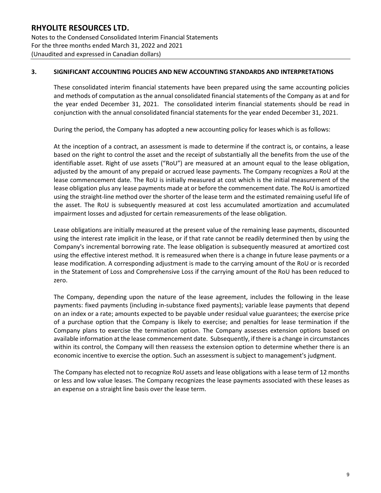Notes to the Condensed Consolidated Interim Financial Statements For the three months ended March 31, 2022 and 2021 (Unaudited and expressed in Canadian dollars)

## **3. SIGNIFICANT ACCOUNTING POLICIES AND NEW ACCOUNTING STANDARDS AND INTERPRETATIONS**

These consolidated interim financial statements have been prepared using the same accounting policies and methods of computation as the annual consolidated financial statements of the Company as at and for the year ended December 31, 2021. The consolidated interim financial statements should be read in conjunction with the annual consolidated financial statements for the year ended December 31, 2021.

During the period, the Company has adopted a new accounting policy for leases which is as follows:

At the inception of a contract, an assessment is made to determine if the contract is, or contains, a lease based on the right to control the asset and the receipt of substantially all the benefits from the use of the identifiable asset. Right of use assets ("RoU") are measured at an amount equal to the lease obligation, adjusted by the amount of any prepaid or accrued lease payments. The Company recognizes a RoU at the lease commencement date. The RoU is initially measured at cost which is the initial measurement of the lease obligation plus any lease payments made at or before the commencement date. The RoU is amortized using the straight-line method over the shorter of the lease term and the estimated remaining useful life of the asset. The RoU is subsequently measured at cost less accumulated amortization and accumulated impairment losses and adjusted for certain remeasurements of the lease obligation.

Lease obligations are initially measured at the present value of the remaining lease payments, discounted using the interest rate implicit in the lease, or if that rate cannot be readily determined then by using the Company's incremental borrowing rate. The lease obligation is subsequently measured at amortized cost using the effective interest method. It is remeasured when there is a change in future lease payments or a lease modification. A corresponding adjustment is made to the carrying amount of the RoU or is recorded in the Statement of Loss and Comprehensive Loss if the carrying amount of the RoU has been reduced to zero.

The Company, depending upon the nature of the lease agreement, includes the following in the lease payments: fixed payments (including in-substance fixed payments); variable lease payments that depend on an index or a rate; amounts expected to be payable under residual value guarantees; the exercise price of a purchase option that the Company is likely to exercise; and penalties for lease termination if the Company plans to exercise the termination option. The Company assesses extension options based on available information at the lease commencement date. Subsequently, if there is a change in circumstances within its control, the Company will then reassess the extension option to determine whether there is an economic incentive to exercise the option. Such an assessment is subject to management's judgment.

The Company has elected not to recognize RoU assets and lease obligations with a lease term of 12 months or less and low value leases. The Company recognizes the lease payments associated with these leases as an expense on a straight line basis over the lease term.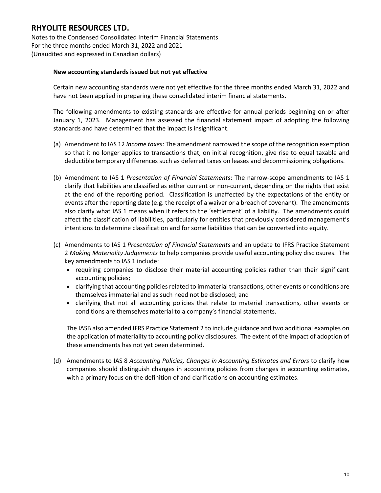Notes to the Condensed Consolidated Interim Financial Statements For the three months ended March 31, 2022 and 2021 (Unaudited and expressed in Canadian dollars)

#### **New accounting standards issued but not yet effective**

Certain new accounting standards were not yet effective for the three months ended March 31, 2022 and have not been applied in preparing these consolidated interim financial statements.

The following amendments to existing standards are effective for annual periods beginning on or after January 1, 2023. Management has assessed the financial statement impact of adopting the following standards and have determined that the impact is insignificant.

- (a) Amendment to IAS 12 *Income taxes*: The amendment narrowed the scope of the recognition exemption so that it no longer applies to transactions that, on initial recognition, give rise to equal taxable and deductible temporary differences such as deferred taxes on leases and decommissioning obligations.
- (b) Amendment to IAS 1 *Presentation of Financial Statements*: The narrow-scope amendments to IAS 1 clarify that liabilities are classified as either current or non-current, depending on the rights that exist at the end of the reporting period. Classification is unaffected by the expectations of the entity or events after the reporting date (e.g. the receipt of a waiver or a breach of covenant). The amendments also clarify what IAS 1 means when it refers to the 'settlement' of a liability. The amendments could affect the classification of liabilities, particularly for entities that previously considered management's intentions to determine classification and for some liabilities that can be converted into equity.
- (c) Amendments to IAS 1 *Presentation of Financial Statements* and an update to IFRS Practice Statement 2 *Making Materiality Judgements* to help companies provide useful accounting policy disclosures. The key amendments to IAS 1 include:
	- requiring companies to disclose their material accounting policies rather than their significant accounting policies;
	- clarifying that accounting policies related to immaterial transactions, other events or conditions are themselves immaterial and as such need not be disclosed; and
	- clarifying that not all accounting policies that relate to material transactions, other events or conditions are themselves material to a company's financial statements.

The IASB also amended IFRS Practice Statement 2 to include guidance and two additional examples on the application of materiality to accounting policy disclosures. The extent of the impact of adoption of these amendments has not yet been determined.

(d) Amendments to IAS 8 *Accounting Policies, Changes in Accounting Estimates and Errors* to clarify how companies should distinguish changes in accounting policies from changes in accounting estimates, with a primary focus on the definition of and clarifications on accounting estimates.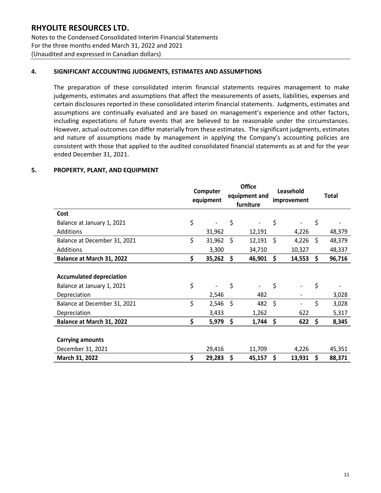Notes to the Condensed Consolidated Interim Financial Statements For the three months ended March 31, 2022 and 2021 (Unaudited and expressed in Canadian dollars)

## **4. SIGNIFICANT ACCOUNTING JUDGMENTS, ESTIMATES AND ASSUMPTIONS**

The preparation of these consolidated interim financial statements requires management to make judgements, estimates and assumptions that affect the measurements of assets, liabilities, expenses and certain disclosures reported in these consolidated interim financial statements. Judgments, estimates and assumptions are continually evaluated and are based on management's experience and other factors, including expectations of future events that are believed to be reasonable under the circumstances. However, actual outcomes can differ materially from these estimates. The significant judgments, estimates and nature of assumptions made by management in applying the Company's accounting policies are consistent with those that applied to the audited consolidated financial statements as at and for the year ended December 31, 2021.

### **5. PROPERTY, PLANT, AND EQUIPMENT**

|                                 | Computer<br>equipment |     | <b>Office</b><br>equipment and<br>furniture | Leasehold<br>improvement | <b>Total</b> |
|---------------------------------|-----------------------|-----|---------------------------------------------|--------------------------|--------------|
| Cost                            |                       |     |                                             |                          |              |
| Balance at January 1, 2021      | \$                    | \$  |                                             | \$                       | \$           |
| Additions                       | 31,962                |     | 12,191                                      | 4,226                    | 48,379       |
| Balance at December 31, 2021    | \$<br>31,962          | \$  | 12,191                                      | \$<br>4,226              | \$<br>48,379 |
| <b>Additions</b>                | 3,300                 |     | 34,710                                      | 10,327                   | 48,337       |
| Balance at March 31, 2022       | \$<br>35,262          | \$. | 46,901                                      | \$<br>14,553             | \$<br>96,716 |
|                                 |                       |     |                                             |                          |              |
| <b>Accumulated depreciation</b> |                       |     |                                             |                          |              |
| Balance at January 1, 2021      | \$                    | \$  |                                             | \$                       | \$           |
| Depreciation                    | 2,546                 |     | 482                                         |                          | 3,028        |
| Balance at December 31, 2021    | \$<br>2,546           | Ŝ.  | 482                                         | \$                       | \$<br>3,028  |
| Depreciation                    | 3,433                 |     | 1,262                                       | 622                      | 5,317        |
| Balance at March 31, 2022       | \$<br>5,979           | \$  | 1,744                                       | \$<br>622                | \$<br>8,345  |
|                                 |                       |     |                                             |                          |              |
| <b>Carrying amounts</b>         |                       |     |                                             |                          |              |
| December 31, 2021               | 29,416                |     | 11,709                                      | 4,226                    | 45,351       |
| March 31, 2022                  | \$<br>29,283          | \$  | 45,157                                      | \$<br>13,931             | \$<br>88,371 |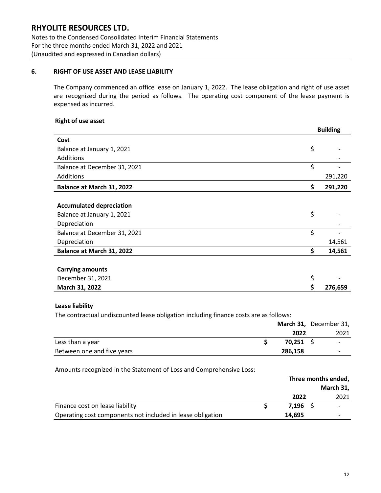Notes to the Condensed Consolidated Interim Financial Statements For the three months ended March 31, 2022 and 2021 (Unaudited and expressed in Canadian dollars)

## **6. RIGHT OF USE ASSET AND LEASE LIABILITY**

The Company commenced an office lease on January 1, 2022. The lease obligation and right of use asset are recognized during the period as follows. The operating cost component of the lease payment is expensed as incurred.

#### **Right of use asset**

|                                 |    | <b>Building</b> |
|---------------------------------|----|-----------------|
| Cost                            |    |                 |
| Balance at January 1, 2021      | \$ |                 |
| Additions                       |    |                 |
| Balance at December 31, 2021    | \$ |                 |
| Additions                       |    | 291,220         |
| Balance at March 31, 2022       | \$ | 291,220         |
|                                 |    |                 |
| <b>Accumulated depreciation</b> |    |                 |
| Balance at January 1, 2021      | \$ |                 |
| Depreciation                    |    |                 |
| Balance at December 31, 2021    | \$ |                 |
| Depreciation                    |    | 14,561          |
| Balance at March 31, 2022       | \$ | 14,561          |
|                                 |    |                 |
| <b>Carrying amounts</b>         |    |                 |
| December 31, 2021               | \$ |                 |
| March 31, 2022                  | S  | 276,659         |

### **Lease liability**

The contractual undiscounted lease obligation including finance costs are as follows:

|                            |             | March 31, December 31, |
|----------------------------|-------------|------------------------|
|                            | 2022        | 2021                   |
| Less than a year           | $70,251$ \$ |                        |
| Between one and five years | 286,158     |                        |

#### Amounts recognized in the Statement of Loss and Comprehensive Loss:

|                                                            | Three months ended, |  |                          |
|------------------------------------------------------------|---------------------|--|--------------------------|
|                                                            |                     |  | March 31,                |
|                                                            | 2022                |  | 2021                     |
| Finance cost on lease liability                            | 7.196 <sub>5</sub>  |  | $\overline{\phantom{0}}$ |
| Operating cost components not included in lease obligation | 14.695              |  |                          |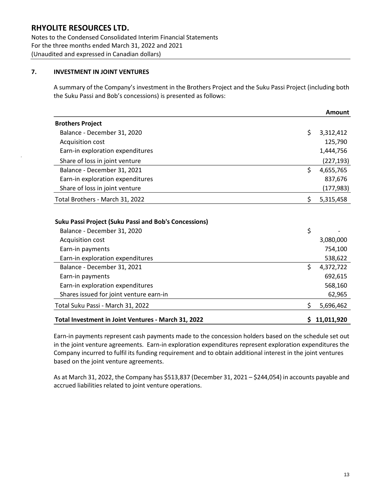Notes to the Condensed Consolidated Interim Financial Statements For the three months ended March 31, 2022 and 2021 (Unaudited and expressed in Canadian dollars)

## **7. INVESTMENT IN JOINT VENTURES**

A summary of the Company's investment in the Brothers Project and the Suku Passi Project (including both the Suku Passi and Bob's concessions) is presented as follows:

|                                                              | Amount           |
|--------------------------------------------------------------|------------------|
| <b>Brothers Project</b>                                      |                  |
| Balance - December 31, 2020                                  | \$<br>3,312,412  |
| Acquisition cost                                             | 125,790          |
| Earn-in exploration expenditures                             | 1,444,756        |
| Share of loss in joint venture                               | (227, 193)       |
| Balance - December 31, 2021                                  | \$<br>4,655,765  |
| Earn-in exploration expenditures                             | 837,676          |
| Share of loss in joint venture                               | (177, 983)       |
| Total Brothers - March 31, 2022                              | \$<br>5,315,458  |
| <b>Suku Passi Project (Suku Passi and Bob's Concessions)</b> |                  |
| Balance - December 31, 2020                                  | \$               |
| Acquisition cost                                             | 3,080,000        |
| Earn-in payments                                             | 754,100          |
| Earn-in exploration expenditures                             | 538,622          |
| Balance - December 31, 2021                                  | \$<br>4,372,722  |
| Earn-in payments                                             | 692,615          |
| Earn-in exploration expenditures                             | 568,160          |
| Shares issued for joint venture earn-in                      | 62,965           |
| Total Suku Passi - March 31, 2022                            | \$<br>5,696,462  |
| Total Investment in Joint Ventures - March 31, 2022          | \$<br>11,011,920 |

Earn-in payments represent cash payments made to the concession holders based on the schedule set out in the joint venture agreements. Earn-in exploration expenditures represent exploration expenditures the Company incurred to fulfil its funding requirement and to obtain additional interest in the joint ventures based on the joint venture agreements.

As at March 31, 2022, the Company has \$513,837 (December 31, 2021 – \$244,054) in accounts payable and accrued liabilities related to joint venture operations.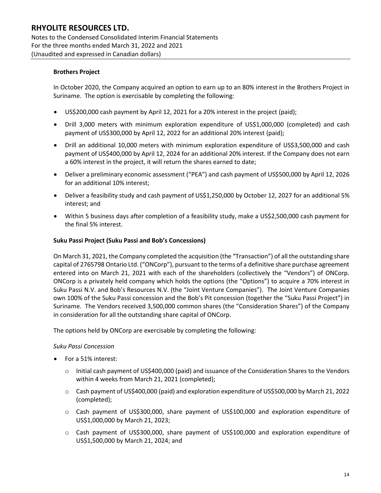Notes to the Condensed Consolidated Interim Financial Statements For the three months ended March 31, 2022 and 2021 (Unaudited and expressed in Canadian dollars)

### **Brothers Project**

In October 2020, the Company acquired an option to earn up to an 80% interest in the Brothers Project in Suriname. The option is exercisable by completing the following:

- US\$200,000 cash payment by April 12, 2021 for a 20% interest in the project (paid);
- Drill 3,000 meters with minimum exploration expenditure of US\$1,000,000 (completed) and cash payment of US\$300,000 by April 12, 2022 for an additional 20% interest (paid);
- Drill an additional 10,000 meters with minimum exploration expenditure of US\$3,500,000 and cash payment of US\$400,000 by April 12, 2024 for an additional 20% interest. If the Company does not earn a 60% interest in the project, it will return the shares earned to date;
- Deliver a preliminary economic assessment ("PEA") and cash payment of US\$500,000 by April 12, 2026 for an additional 10% interest;
- Deliver a feasibility study and cash payment of US\$1,250,000 by October 12, 2027 for an additional 5% interest; and
- Within 5 business days after completion of a feasibility study, make a US\$2,500,000 cash payment for the final 5% interest.

#### **Suku Passi Project (Suku Passi and Bob's Concessions)**

On March 31, 2021, the Company completed the acquisition (the "Transaction") of all the outstanding share capital of 2765798 Ontario Ltd. ("ONCorp"), pursuant to the terms of a definitive share purchase agreement entered into on March 21, 2021 with each of the shareholders (collectively the "Vendors") of ONCorp. ONCorp is a privately held company which holds the options (the "Options") to acquire a 70% interest in Suku Passi N.V. and Bob's Resources N.V. (the "Joint Venture Companies"). The Joint Venture Companies own 100% of the Suku Passi concession and the Bob's Pit concession (together the "Suku Passi Project") in Suriname. The Vendors received 3,500,000 common shares (the "Consideration Shares") of the Company in consideration for all the outstanding share capital of ONCorp.

The options held by ONCorp are exercisable by completing the following:

#### *Suku Passi Concession*

- For a 51% interest:
	- $\circ$  Initial cash payment of US\$400,000 (paid) and issuance of the Consideration Shares to the Vendors within 4 weeks from March 21, 2021 (completed);
	- $\circ$  Cash payment of US\$400,000 (paid) and exploration expenditure of US\$500,000 by March 21, 2022 (completed);
	- $\circ$  Cash payment of US\$300,000, share payment of US\$100,000 and exploration expenditure of US\$1,000,000 by March 21, 2023;
	- o Cash payment of US\$300,000, share payment of US\$100,000 and exploration expenditure of US\$1,500,000 by March 21, 2024; and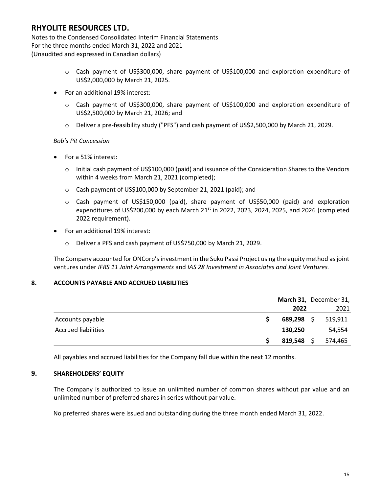Notes to the Condensed Consolidated Interim Financial Statements For the three months ended March 31, 2022 and 2021 (Unaudited and expressed in Canadian dollars)

- o Cash payment of US\$300,000, share payment of US\$100,000 and exploration expenditure of US\$2,000,000 by March 21, 2025.
- For an additional 19% interest:
	- $\circ$  Cash payment of US\$300,000, share payment of US\$100,000 and exploration expenditure of US\$2,500,000 by March 21, 2026; and
	- o Deliver a pre-feasibility study ("PFS") and cash payment of US\$2,500,000 by March 21, 2029.

#### *Bob's Pit Concession*

- For a 51% interest:
	- $\circ$  Initial cash payment of US\$100,000 (paid) and issuance of the Consideration Shares to the Vendors within 4 weeks from March 21, 2021 (completed);
	- o Cash payment of US\$100,000 by September 21, 2021 (paid); and
	- o Cash payment of US\$150,000 (paid), share payment of US\$50,000 (paid) and exploration expenditures of US\$200,000 by each March  $21^{st}$  in 2022, 2023, 2024, 2025, and 2026 (completed 2022 requirement).
- For an additional 19% interest:
	- o Deliver a PFS and cash payment of US\$750,000 by March 21, 2029.

The Company accounted for ONCorp's investment in the Suku Passi Project using the equity method as joint ventures under *IFRS 11 Joint Arrangements* and *IAS 28 Investment in Associates and Joint Ventures.*

### **8. ACCOUNTS PAYABLE AND ACCRUED LIABILITIES**

|                            |            | March 31, December 31, |
|----------------------------|------------|------------------------|
|                            | 2022       | 2021                   |
| Accounts payable           | 689,298 \$ | 519,911                |
| <b>Accrued liabilities</b> | 130,250    | 54,554                 |
|                            | 819,548    | 574,465                |

All payables and accrued liabilities for the Company fall due within the next 12 months.

### **9. SHAREHOLDERS' EQUITY**

The Company is authorized to issue an unlimited number of common shares without par value and an unlimited number of preferred shares in series without par value.

No preferred shares were issued and outstanding during the three month ended March 31, 2022.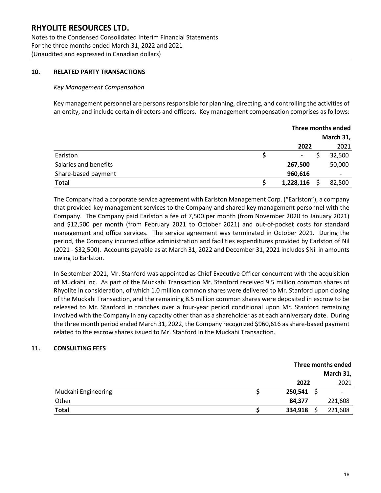Notes to the Condensed Consolidated Interim Financial Statements For the three months ended March 31, 2022 and 2021 (Unaudited and expressed in Canadian dollars)

### **10. RELATED PARTY TRANSACTIONS**

#### *Key Management Compensation*

Key management personnel are persons responsible for planning, directing, and controlling the activities of an entity, and include certain directors and officers. Key management compensation comprises as follows:

|                       | Three months ended       |           |        |  |
|-----------------------|--------------------------|-----------|--------|--|
|                       |                          | March 31, |        |  |
|                       | 2022                     |           | 2021   |  |
| Earlston              | $\overline{\phantom{a}}$ |           | 32,500 |  |
| Salaries and benefits | 267,500                  |           | 50,000 |  |
| Share-based payment   | 960,616                  |           |        |  |
| <b>Total</b>          | 1,228,116                |           | 82,500 |  |

The Company had a corporate service agreement with Earlston Management Corp. ("Earlston"), a company that provided key management services to the Company and shared key management personnel with the Company. The Company paid Earlston a fee of 7,500 per month (from November 2020 to January 2021) and \$12,500 per month (from February 2021 to October 2021) and out-of-pocket costs for standard management and office services. The service agreement was terminated in October 2021. During the period, the Company incurred office administration and facilities expenditures provided by Earlston of Nil (2021 - \$32,500). Accounts payable as at March 31, 2022 and December 31, 2021 includes \$Nil in amounts owing to Earlston.

In September 2021, Mr. Stanford was appointed as Chief Executive Officer concurrent with the acquisition of Muckahi Inc. As part of the Muckahi Transaction Mr. Stanford received 9.5 million common shares of Rhyolite in consideration, of which 1.0 million common shares were delivered to Mr. Stanford upon closing of the Muckahi Transaction, and the remaining 8.5 million common shares were deposited in escrow to be released to Mr. Stanford in tranches over a four-year period conditional upon Mr. Stanford remaining involved with the Company in any capacity other than as a shareholder as at each anniversary date. During the three month period ended March 31, 2022, the Company recognized \$960,616 as share-based payment related to the escrow shares issued to Mr. Stanford in the Muckahi Transaction.

### **11. CONSULTING FEES**

|                     |         | Three months ended |         |  |  |
|---------------------|---------|--------------------|---------|--|--|
|                     |         | March 31,          |         |  |  |
|                     | 2022    |                    | 2021    |  |  |
| Muckahi Engineering | 250,541 |                    |         |  |  |
| Other               | 84,377  |                    | 221,608 |  |  |
| <b>Total</b>        | 334,918 |                    | 221,608 |  |  |